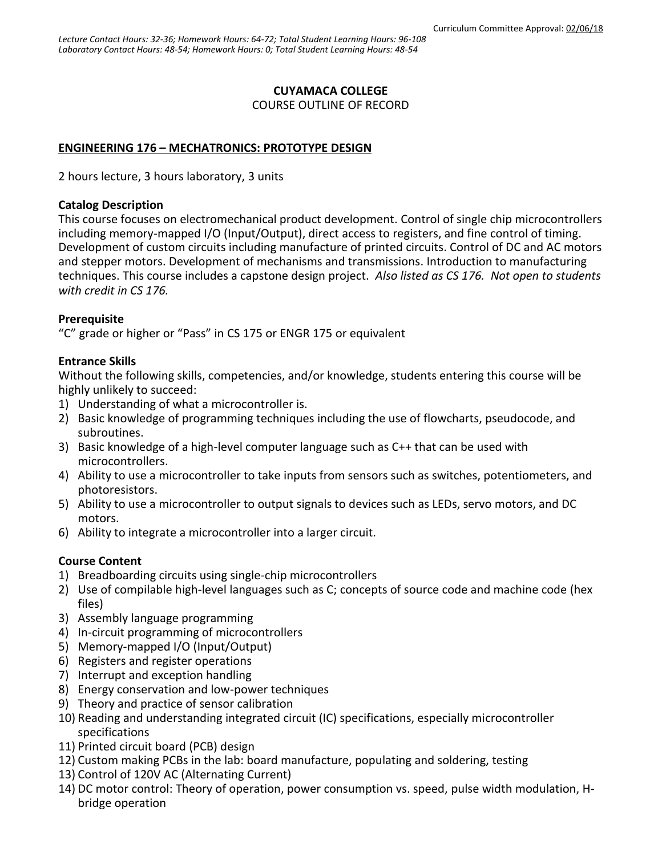# **CUYAMACA COLLEGE**

COURSE OUTLINE OF RECORD

# **ENGINEERING 176 – MECHATRONICS: PROTOTYPE DESIGN**

2 hours lecture, 3 hours laboratory, 3 units

#### **Catalog Description**

This course focuses on electromechanical product development. Control of single chip microcontrollers including memory-mapped I/O (Input/Output), direct access to registers, and fine control of timing. Development of custom circuits including manufacture of printed circuits. Control of DC and AC motors and stepper motors. Development of mechanisms and transmissions. Introduction to manufacturing techniques. This course includes a capstone design project. *Also listed as CS 176. Not open to students with credit in CS 176.*

## **Prerequisite**

"C" grade or higher or "Pass" in CS 175 or ENGR 175 or equivalent

## **Entrance Skills**

Without the following skills, competencies, and/or knowledge, students entering this course will be highly unlikely to succeed:

- 1) Understanding of what a microcontroller is.
- 2) Basic knowledge of programming techniques including the use of flowcharts, pseudocode, and subroutines.
- 3) Basic knowledge of a high-level computer language such as C++ that can be used with microcontrollers.
- 4) Ability to use a microcontroller to take inputs from sensors such as switches, potentiometers, and photoresistors.
- 5) Ability to use a microcontroller to output signals to devices such as LEDs, servo motors, and DC motors.
- 6) Ability to integrate a microcontroller into a larger circuit.

# **Course Content**

- 1) Breadboarding circuits using single-chip microcontrollers
- 2) Use of compilable high-level languages such as C; concepts of source code and machine code (hex files)
- 3) Assembly language programming
- 4) In-circuit programming of microcontrollers
- 5) Memory-mapped I/O (Input/Output)
- 6) Registers and register operations
- 7) Interrupt and exception handling
- 8) Energy conservation and low-power techniques
- 9) Theory and practice of sensor calibration
- 10) Reading and understanding integrated circuit (IC) specifications, especially microcontroller specifications
- 11) Printed circuit board (PCB) design
- 12) Custom making PCBs in the lab: board manufacture, populating and soldering, testing
- 13) Control of 120V AC (Alternating Current)
- 14) DC motor control: Theory of operation, power consumption vs. speed, pulse width modulation, Hbridge operation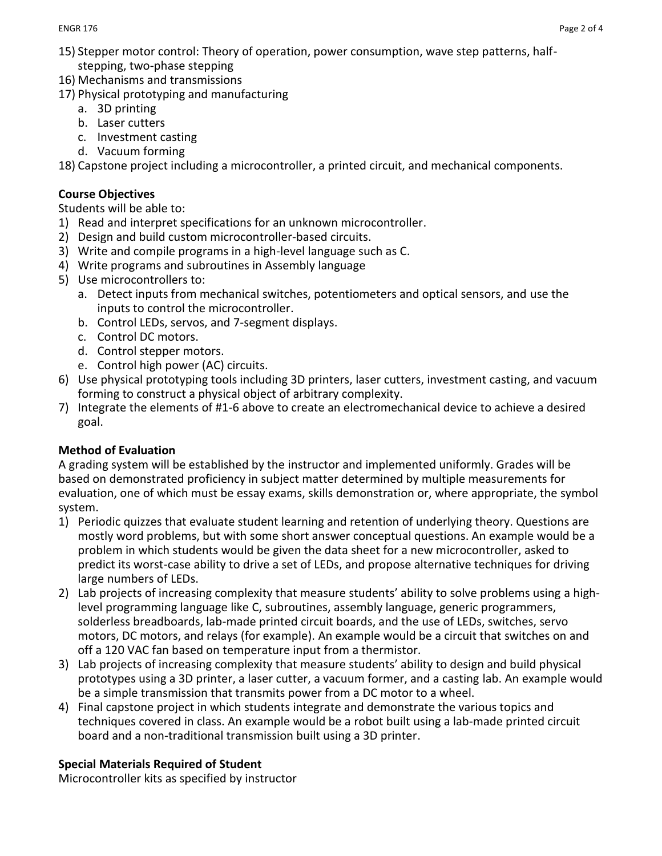- 15) Stepper motor control: Theory of operation, power consumption, wave step patterns, halfstepping, two-phase stepping
- 16) Mechanisms and transmissions
- 17) Physical prototyping and manufacturing
	- a. 3D printing
	- b. Laser cutters
	- c. Investment casting
	- d. Vacuum forming

18) Capstone project including a microcontroller, a printed circuit, and mechanical components.

## **Course Objectives**

Students will be able to:

- 1) Read and interpret specifications for an unknown microcontroller.
- 2) Design and build custom microcontroller-based circuits.
- 3) Write and compile programs in a high-level language such as C.
- 4) Write programs and subroutines in Assembly language
- 5) Use microcontrollers to:
	- a. Detect inputs from mechanical switches, potentiometers and optical sensors, and use the inputs to control the microcontroller.
	- b. Control LEDs, servos, and 7-segment displays.
	- c. Control DC motors.
	- d. Control stepper motors.
	- e. Control high power (AC) circuits.
- 6) Use physical prototyping tools including 3D printers, laser cutters, investment casting, and vacuum forming to construct a physical object of arbitrary complexity.
- 7) Integrate the elements of #1-6 above to create an electromechanical device to achieve a desired goal.

# **Method of Evaluation**

A grading system will be established by the instructor and implemented uniformly. Grades will be based on demonstrated proficiency in subject matter determined by multiple measurements for evaluation, one of which must be essay exams, skills demonstration or, where appropriate, the symbol system.

- 1) Periodic quizzes that evaluate student learning and retention of underlying theory. Questions are mostly word problems, but with some short answer conceptual questions. An example would be a problem in which students would be given the data sheet for a new microcontroller, asked to predict its worst-case ability to drive a set of LEDs, and propose alternative techniques for driving large numbers of LEDs.
- 2) Lab projects of increasing complexity that measure students' ability to solve problems using a highlevel programming language like C, subroutines, assembly language, generic programmers, solderless breadboards, lab-made printed circuit boards, and the use of LEDs, switches, servo motors, DC motors, and relays (for example). An example would be a circuit that switches on and off a 120 VAC fan based on temperature input from a thermistor.
- 3) Lab projects of increasing complexity that measure students' ability to design and build physical prototypes using a 3D printer, a laser cutter, a vacuum former, and a casting lab. An example would be a simple transmission that transmits power from a DC motor to a wheel.
- 4) Final capstone project in which students integrate and demonstrate the various topics and techniques covered in class. An example would be a robot built using a lab-made printed circuit board and a non-traditional transmission built using a 3D printer.

## **Special Materials Required of Student**

Microcontroller kits as specified by instructor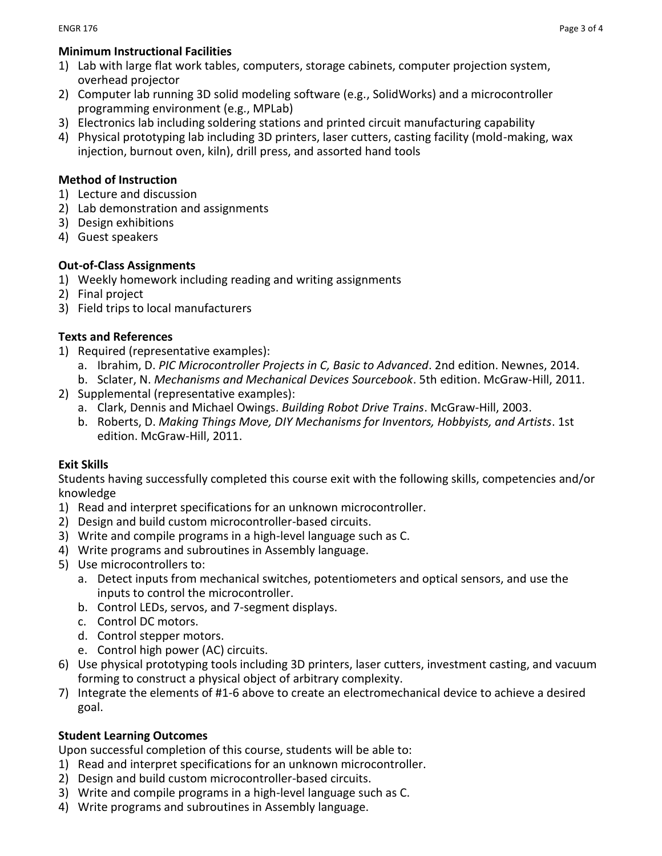#### **Minimum Instructional Facilities**

- 1) Lab with large flat work tables, computers, storage cabinets, computer projection system, overhead projector
- 2) Computer lab running 3D solid modeling software (e.g., SolidWorks) and a microcontroller programming environment (e.g., MPLab)
- 3) Electronics lab including soldering stations and printed circuit manufacturing capability
- 4) Physical prototyping lab including 3D printers, laser cutters, casting facility (mold-making, wax injection, burnout oven, kiln), drill press, and assorted hand tools

#### **Method of Instruction**

- 1) Lecture and discussion
- 2) Lab demonstration and assignments
- 3) Design exhibitions
- 4) Guest speakers

## **Out-of-Class Assignments**

- 1) Weekly homework including reading and writing assignments
- 2) Final project
- 3) Field trips to local manufacturers

#### **Texts and References**

- 1) Required (representative examples):
	- a. Ibrahim, D. *PIC Microcontroller Projects in C, Basic to Advanced*. 2nd edition. Newnes, 2014.
	- b. Sclater, N. *Mechanisms and Mechanical Devices Sourcebook*. 5th edition. McGraw-Hill, 2011.
- 2) Supplemental (representative examples):
	- a. Clark, Dennis and Michael Owings. *Building Robot Drive Trains*. McGraw-Hill, 2003.
	- b. Roberts, D. *Making Things Move, DIY Mechanisms for Inventors, Hobbyists, and Artists*. 1st edition. McGraw-Hill, 2011.

#### **Exit Skills**

Students having successfully completed this course exit with the following skills, competencies and/or knowledge

- 1) Read and interpret specifications for an unknown microcontroller.
- 2) Design and build custom microcontroller-based circuits.
- 3) Write and compile programs in a high-level language such as C.
- 4) Write programs and subroutines in Assembly language.
- 5) Use microcontrollers to:
	- a. Detect inputs from mechanical switches, potentiometers and optical sensors, and use the inputs to control the microcontroller.
	- b. Control LEDs, servos, and 7-segment displays.
	- c. Control DC motors.
	- d. Control stepper motors.
	- e. Control high power (AC) circuits.
- 6) Use physical prototyping tools including 3D printers, laser cutters, investment casting, and vacuum forming to construct a physical object of arbitrary complexity.
- 7) Integrate the elements of #1-6 above to create an electromechanical device to achieve a desired goal.

## **Student Learning Outcomes**

Upon successful completion of this course, students will be able to:

- 1) Read and interpret specifications for an unknown microcontroller.
- 2) Design and build custom microcontroller-based circuits.
- 3) Write and compile programs in a high-level language such as C.
- 4) Write programs and subroutines in Assembly language.